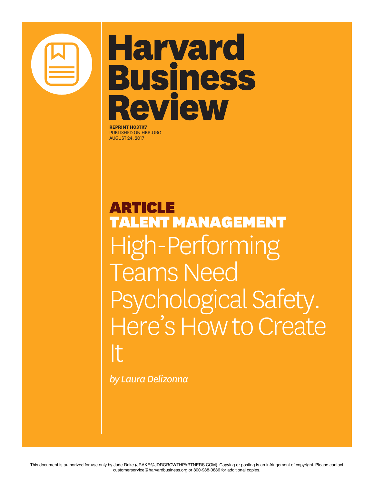

## **Harvard Business** Review

**REPRINT H03TK7** PUBLISHED ON HBR.ORG AUGUST 24, 2017

**RTICLE** TALENT MANAGEMENT High-Performing Teams Need Psychological Safety. Here's How to Create It

*by Laura Delizonna*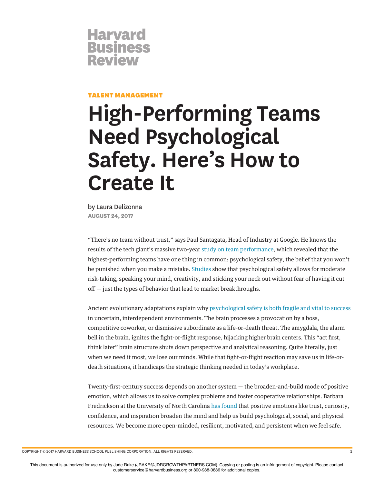

## TALENT MANAGEMENT

## **High-Performing Teams Need Psychological Safety. Here's How to Create It**

by Laura Delizonna **AUGUST 24, 2017**

"There's no team without trust," says Paul Santagata, Head of Industry at Google. He knows the results of the tech giant's massive two-year study on team performance, which revealed that the highest-performing teams have one thing in common: psychological safety, the belief that you won't be punished when you make a mistake. Studies show that psychological safety allows for moderate risk-taking, speaking your mind, creativity, and sticking your neck out without fear of having it cut  $off$  – just the types of behavior that lead to market breakthroughs.

Ancient evolutionary adaptations explain why psychological safety is both fragile and vital to success in uncertain, interdependent environments. The brain processes a provocation by a boss, competitive coworker, or dismissive subordinate as a life-or-death threat. The amygdala, the alarm bell in the brain, ignites the fght-or-fight response, hijacking higher brain centers. This "act frst, think later" brain structure shuts down perspective and analytical reasoning. Quite literally, just when we need it most, we lose our minds. While that fght-or-fight reaction may save us in life-ordeath situations, it handicaps the strategic thinking needed in today's workplace.

Twenty-frst-century success depends on another system — the broaden-and-build mode of positive emotion, which allows us to solve complex problems and foster cooperative relationships. Barbara Fredrickson at the University of North Carolina has found that positive emotions like trust, curiosity, confdence, and inspiration broaden the mind and help us build psychological, social, and physical resources. We become more open-minded, resilient, motivated, and persistent when we feel safe.

COPYRIGHT © 2017 HARVARD BUSINESS SCHOOL PUBLISHING CORPORATION. ALL RIGHTS RESERVED. 2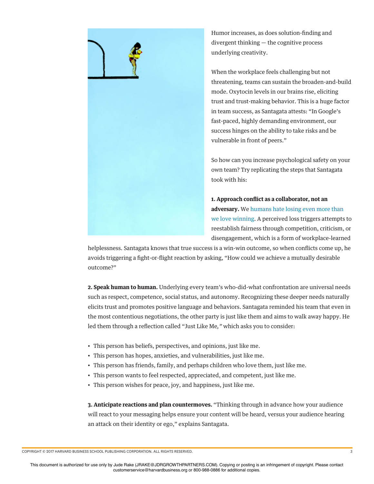

Humor increases, as does solution-fnding and divergent thinking — the cognitive process underlying creativity.

When the workplace feels challenging but not threatening, teams can sustain the broaden-and-build mode. Oxytocin levels in our brains rise, eliciting trust and trust-making behavior. This is a huge factor in team success, as Santagata attests: "In Google's fast-paced, highly demanding environment, our success hinges on the ability to take risks and be vulnerable in front of peers."

So how can you increase psychological safety on your own team? Try replicating the steps that Santagata took with his:

**1. Approach confict as a collaborator, not an adversary.** We humans hate losing even more than we love winning. A perceived loss triggers attempts to reestablish fairness through competition, criticism, or disengagement, which is a form of workplace-learned

helplessness. Santagata knows that true success is a win-win outcome, so when conficts come up, he avoids triggering a fght-or-fight reaction by asking, "How could we achieve a mutually desirable outcome?"

**2. Speak human to human.** Underlying every team's who-did-what confrontation are universal needs such as respect, competence, social status, and autonomy. Recognizing these deeper needs naturally elicits trust and promotes positive language and behaviors. Santagata reminded his team that even in the most contentious negotiations, the other party is just like them and aims to walk away happy. He led them through a refection called "Just Like Me*,"* which asks you to consider:

- This person has beliefs, perspectives, and opinions, just like me.
- This person has hopes, anxieties, and vulnerabilities, just like me.
- This person has friends, family, and perhaps children who love them, just like me.
- This person wants to feel respected, appreciated, and competent, just like me.
- This person wishes for peace, joy, and happiness, just like me.

**3. Anticipate reactions and plan countermoves.** "Thinking through in advance how your audience will react to your messaging helps ensure your content will be heard, versus your audience hearing an attack on their identity or ego," explains Santagata.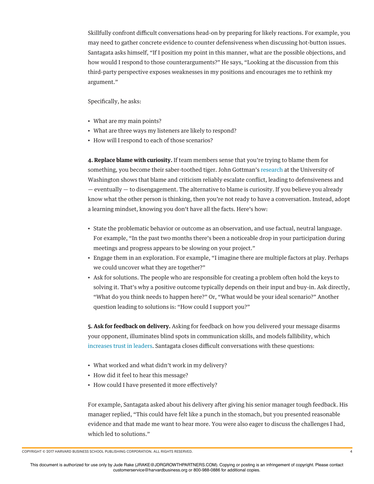Skillfully confront difficult conversations head-on by preparing for likely reactions. For example, you may need to gather concrete evidence to counter defensiveness when discussing hot-button issues. Santagata asks himself, "If I position my point in this manner, what are the possible objections, and how would I respond to those counterarguments?" He says, "Looking at the discussion from this third-party perspective exposes weaknesses in my positions and encourages me to rethink my argument."

## Specifcally, he asks:

- What are my main points?
- What are three ways my listeners are likely to respond?
- How will I respond to each of those scenarios?

**4. Replace blame with curiosity.** If team members sense that you're trying to blame them for something, you become their saber-toothed tiger. John Gottman's research at the University of Washington shows that blame and criticism reliably escalate confict, leading to defensiveness and — eventually — to disengagement. The alternative to blame is curiosity. If you believe you already know what the other person is thinking, then you're not ready to have a conversation. Instead, adopt a learning mindset, knowing you don't have all the facts. Here's how:

- State the problematic behavior or outcome as an observation, and use factual, neutral language. For example, "In the past two months there's been a noticeable drop in your participation during meetings and progress appears to be slowing on your project."
- Engage them in an exploration. For example, "I imagine there are multiple factors at play. Perhaps we could uncover what they are together?"
- Ask for solutions. The people who are responsible for creating a problem often hold the keys to solving it. That's why a positive outcome typically depends on their input and buy-in. Ask directly, "What do you think needs to happen here?" Or, "What would be your ideal scenario?" Another question leading to solutions is: "How could I support you?"

**5. Ask for feedback on delivery.** Asking for feedback on how you delivered your message disarms your opponent, illuminates blind spots in communication skills, and models fallibility, which increases trust in leaders. Santagata closes difficult conversations with these questions:

- What worked and what didn't work in my delivery?
- How did it feel to hear this message?
- How could I have presented it more effectively?

For example, Santagata asked about his delivery after giving his senior manager tough feedback. His manager replied, "This could have felt like a punch in the stomach, but you presented reasonable evidence and that made me want to hear more. You were also eager to discuss the challenges I had, which led to solutions."

COPYRIGHT © 2017 HARVARD BUSINESS SCHOOL PUBLISHING CORPORATION. ALL RIGHTS RESERVED. 4